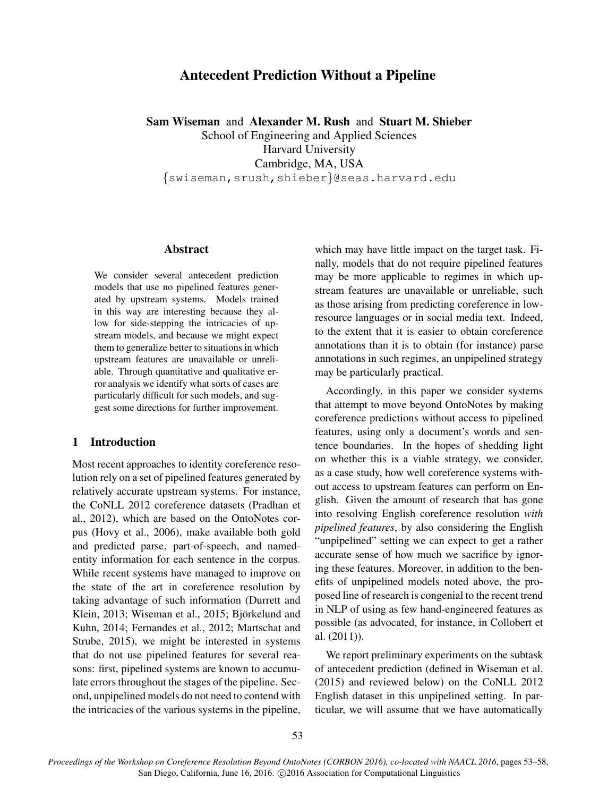# Antecedent Prediction Without a Pipeline

Sam Wiseman and Alexander M. Rush and Stuart M. Shieber

School of Engineering and Applied Sciences Harvard University Cambridge, MA, USA {swiseman,srush,shieber}@seas.harvard.edu

#### Abstract

We consider several antecedent prediction models that use no pipelined features generated by upstream systems. Models trained in this way are interesting because they allow for side-stepping the intricacies of upstream models, and because we might expect them to generalize better to situations in which upstream features are unavailable or unreliable. Through quantitative and qualitative error analysis we identify what sorts of cases are particularly difficult for such models, and suggest some directions for further improvement.

# 1 Introduction

Most recent approaches to identity coreference resolution rely on a set of pipelined features generated by relatively accurate upstream systems. For instance, the CoNLL 2012 coreference datasets (Pradhan et al., 2012), which are based on the OntoNotes corpus (Hovy et al., 2006), make available both gold and predicted parse, part-of-speech, and namedentity information for each sentence in the corpus. While recent systems have managed to improve on the state of the art in coreference resolution by taking advantage of such information (Durrett and Klein, 2013; Wiseman et al., 2015; Björkelund and Kuhn, 2014; Fernandes et al., 2012; Martschat and Strube, 2015), we might be interested in systems that do not use pipelined features for several reasons: first, pipelined systems are known to accumulate errors throughout the stages of the pipeline. Second, unpipelined models do not need to contend with the intricacies of the various systems in the pipeline, which may have little impact on the target task. Finally, models that do not require pipelined features may be more applicable to regimes in which upstream features are unavailable or unreliable, such as those arising from predicting coreference in lowresource languages or in social media text. Indeed, to the extent that it is easier to obtain coreference annotations than it is to obtain (for instance) parse annotations in such regimes, an unpipelined strategy may be particularly practical.

Accordingly, in this paper we consider systems that attempt to move beyond OntoNotes by making coreference predictions without access to pipelined features, using only a document's words and sentence boundaries. In the hopes of shedding light on whether this is a viable strategy, we consider, as a case study, how well coreference systems without access to upstream features can perform on English. Given the amount of research that has gone into resolving English coreference resolution *with pipelined features*, by also considering the English "unpipelined" setting we can expect to get a rather accurate sense of how much we sacrifice by ignoring these features. Moreover, in addition to the benefits of unpipelined models noted above, the proposed line of research is congenial to the recent trend in NLP of using as few hand-engineered features as possible (as advocated, for instance, in Collobert et al. (2011)).

We report preliminary experiments on the subtask of antecedent prediction (defined in Wiseman et al. (2015) and reviewed below) on the CoNLL 2012 English dataset in this unpipelined setting. In particular, we will assume that we have automatically

*Proceedings of the Workshop on Coreference Resolution Beyond OntoNotes (CORBON 2016), co-located with NAACL 2016*, pages 53–58, San Diego, California, June 16, 2016. ©2016 Association for Computational Linguistics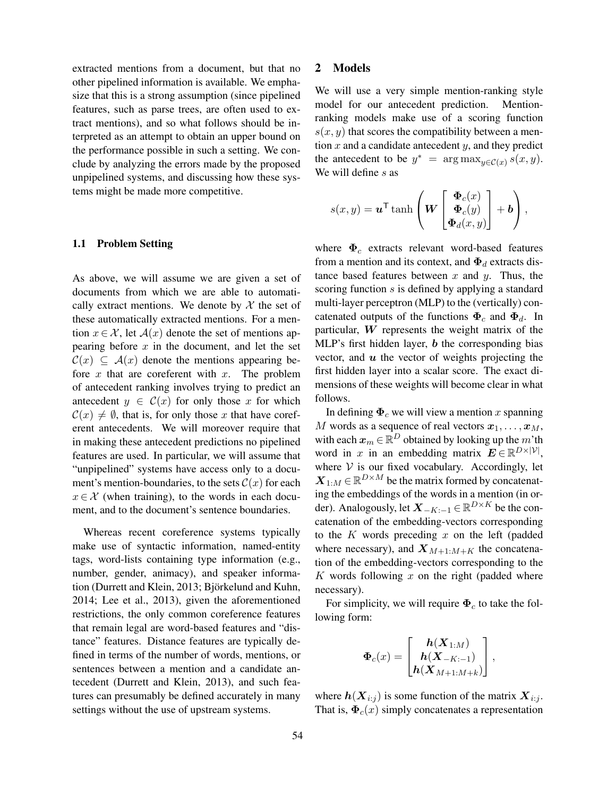extracted mentions from a document, but that no other pipelined information is available. We emphasize that this is a strong assumption (since pipelined features, such as parse trees, are often used to extract mentions), and so what follows should be interpreted as an attempt to obtain an upper bound on the performance possible in such a setting. We conclude by analyzing the errors made by the proposed unpipelined systems, and discussing how these systems might be made more competitive.

#### 1.1 Problem Setting

As above, we will assume we are given a set of documents from which we are able to automatically extract mentions. We denote by  $X$  the set of these automatically extracted mentions. For a mention  $x \in \mathcal{X}$ , let  $\mathcal{A}(x)$  denote the set of mentions appearing before  $x$  in the document, and let the set  $\mathcal{C}(x) \subseteq \mathcal{A}(x)$  denote the mentions appearing before  $x$  that are coreferent with  $x$ . The problem of antecedent ranking involves trying to predict an antecedent  $y \in \mathcal{C}(x)$  for only those x for which  $\mathcal{C}(x) \neq \emptyset$ , that is, for only those x that have coreferent antecedents. We will moreover require that in making these antecedent predictions no pipelined features are used. In particular, we will assume that "unpipelined" systems have access only to a document's mention-boundaries, to the sets  $\mathcal{C}(x)$  for each  $x \in \mathcal{X}$  (when training), to the words in each document, and to the document's sentence boundaries.

Whereas recent coreference systems typically make use of syntactic information, named-entity tags, word-lists containing type information (e.g., number, gender, animacy), and speaker information (Durrett and Klein, 2013; Björkelund and Kuhn, 2014; Lee et al., 2013), given the aforementioned restrictions, the only common coreference features that remain legal are word-based features and "distance" features. Distance features are typically defined in terms of the number of words, mentions, or sentences between a mention and a candidate antecedent (Durrett and Klein, 2013), and such features can presumably be defined accurately in many settings without the use of upstream systems.

### 2 Models

We will use a very simple mention-ranking style model for our antecedent prediction. Mentionranking models make use of a scoring function  $s(x, y)$  that scores the compatibility between a mention  $x$  and a candidate antecedent  $y$ , and they predict the antecedent to be  $y^* = \arg \max_{y \in \mathcal{C}(x)} s(x, y)$ . We will define s as

$$
s(x,y) = \mathbf{u}^{\mathsf{T}} \tanh\left(\mathbf{W}\begin{bmatrix} \mathbf{\Phi}_c(x) \\ \mathbf{\Phi}_c(y) \\ \mathbf{\Phi}_d(x,y) \end{bmatrix} + \mathbf{b}\right),\,
$$

where  $\Phi_c$  extracts relevant word-based features from a mention and its context, and  $\Phi_d$  extracts distance based features between  $x$  and  $y$ . Thus, the scoring function s is defined by applying a standard multi-layer perceptron (MLP) to the (vertically) concatenated outputs of the functions  $\Phi_c$  and  $\Phi_d$ . In particular,  $W$  represents the weight matrix of the MLP's first hidden layer,  **the corresponding bias** vector, and  $u$  the vector of weights projecting the first hidden layer into a scalar score. The exact dimensions of these weights will become clear in what follows.

In defining  $\Phi_c$  we will view a mention x spanning M words as a sequence of real vectors  $x_1, \ldots, x_M$ , with each  $\boldsymbol{x}_m \!\in\! \mathbb{R}^D$  obtained by looking up the  $m$ 'th word in x in an embedding matrix  $\mathbf{E} \in \mathbb{R}^{D \times |\mathcal{V}|},$ where  $V$  is our fixed vocabulary. Accordingly, let  $\boldsymbol{X}_{1:M} \in \mathbb{R}^{D \times M}$  be the matrix formed by concatenating the embeddings of the words in a mention (in order). Analogously, let  $\boldsymbol{X}_{-K:-1} \in \mathbb{R}^{D \times K}$  be the concatenation of the embedding-vectors corresponding to the  $K$  words preceding  $x$  on the left (padded where necessary), and  $X_{M+1:M+K}$  the concatenation of the embedding-vectors corresponding to the  $K$  words following  $x$  on the right (padded where necessary).

For simplicity, we will require  $\Phi_c$  to take the following form:

$$
\mathbf{\Phi}_c(x) = \begin{bmatrix} h(X_{1:M}) \\ h(X_{-K:-1}) \\ h(X_{M+1:M+k}) \end{bmatrix},
$$

where  $h(X_{i:j})$  is some function of the matrix  $X_{i:j}$ . That is,  $\Phi_c(x)$  simply concatenates a representation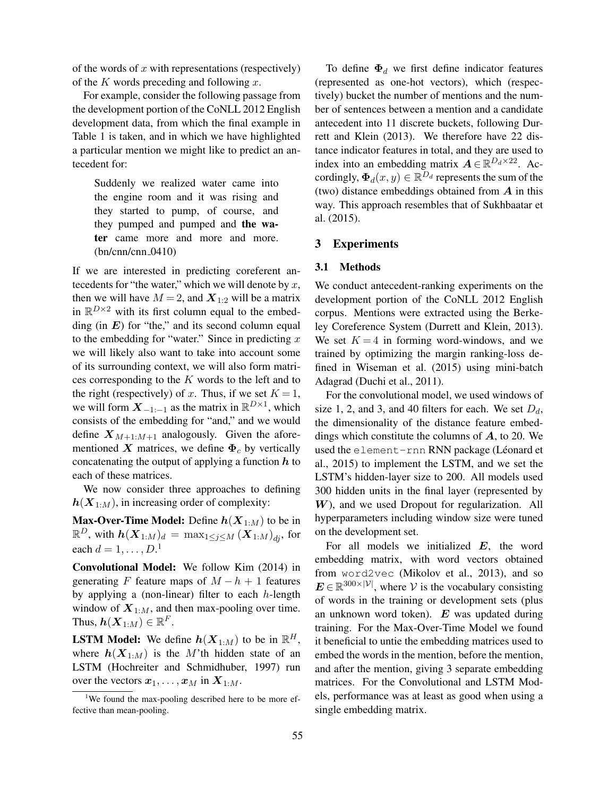of the words of  $x$  with representations (respectively) of the  $K$  words preceding and following  $x$ .

For example, consider the following passage from the development portion of the CoNLL 2012 English development data, from which the final example in Table 1 is taken, and in which we have highlighted a particular mention we might like to predict an antecedent for:

Suddenly we realized water came into the engine room and it was rising and they started to pump, of course, and they pumped and pumped and the water came more and more and more.  $(bn/cm/m/cnn_0410)$ 

If we are interested in predicting coreferent antecedents for "the water," which we will denote by  $x$ , then we will have  $M = 2$ , and  $X_{1:2}$  will be a matrix in  $\mathbb{R}^{D\times 2}$  with its first column equal to the embedding (in  $E$ ) for "the," and its second column equal to the embedding for "water." Since in predicting  $x$ we will likely also want to take into account some of its surrounding context, we will also form matrices corresponding to the  $K$  words to the left and to the right (respectively) of x. Thus, if we set  $K = 1$ , we will form  $X_{-1:-1}$  as the matrix in  $\mathbb{R}^{D\times 1}$ , which consists of the embedding for "and," and we would define  $X_{M+1:M+1}$  analogously. Given the aforementioned X matrices, we define  $\Phi_c$  by vertically concatenating the output of applying a function  $h$  to each of these matrices.

We now consider three approaches to defining  $h(X_{1:M})$ , in increasing order of complexity:

**Max-Over-Time Model:** Define  $h(X_{1:M})$  to be in  $\mathbb{R}^D$ , with  $\bm{h}(\bm{X}_{1:M})_d\,=\,\max_{1\leq j\leq M}\left(\bm{X}_{1:M}\right)_{dj},$  for each  $d = 1, \ldots, D$ .<sup>1</sup>

Convolutional Model: We follow Kim (2014) in generating F feature maps of  $M - h + 1$  features by applying a (non-linear) filter to each  $h$ -length window of  $X_{1:M}$ , and then max-pooling over time. Thus,  $\bm{h}(\bm{X}_{1:M})\in\mathbb{R}^F.$ 

**LSTM Model:** We define  $h(X_{1:M})$  to be in  $\mathbb{R}^H$ , where  $h(X_{1:M})$  is the M'th hidden state of an LSTM (Hochreiter and Schmidhuber, 1997) run over the vectors  $x_1, \ldots, x_M$  in  $X_{1:M}$ .

To define  $\Phi_d$  we first define indicator features (represented as one-hot vectors), which (respectively) bucket the number of mentions and the number of sentences between a mention and a candidate antecedent into 11 discrete buckets, following Durrett and Klein (2013). We therefore have 22 distance indicator features in total, and they are used to index into an embedding matrix  $\mathbf{A} \in \mathbb{R}^{D_d \times 22}$ . Accordingly,  $\boldsymbol{\Phi}_d(x,y) \in \mathbb{R}^{D_d}$  represents the sum of the (two) distance embeddings obtained from  $\vec{A}$  in this way. This approach resembles that of Sukhbaatar et al. (2015).

### 3 Experiments

#### 3.1 Methods

We conduct antecedent-ranking experiments on the development portion of the CoNLL 2012 English corpus. Mentions were extracted using the Berkeley Coreference System (Durrett and Klein, 2013). We set  $K = 4$  in forming word-windows, and we trained by optimizing the margin ranking-loss defined in Wiseman et al. (2015) using mini-batch Adagrad (Duchi et al., 2011).

For the convolutional model, we used windows of size 1, 2, and 3, and 40 filters for each. We set  $D_d$ , the dimensionality of the distance feature embeddings which constitute the columns of  $A$ , to 20. We used the element-rnn RNN package (Léonard et al., 2015) to implement the LSTM, and we set the LSTM's hidden-layer size to 200. All models used 300 hidden units in the final layer (represented by W), and we used Dropout for regularization. All hyperparameters including window size were tuned on the development set.

For all models we initialized  $E$ , the word embedding matrix, with word vectors obtained from word2vec (Mikolov et al., 2013), and so  $E \in \mathbb{R}^{300 \times |\mathcal{V}|}$ , where V is the vocabulary consisting of words in the training or development sets (plus an unknown word token).  $E$  was updated during training. For the Max-Over-Time Model we found it beneficial to untie the embedding matrices used to embed the words in the mention, before the mention, and after the mention, giving 3 separate embedding matrices. For the Convolutional and LSTM Models, performance was at least as good when using a single embedding matrix.

<sup>&</sup>lt;sup>1</sup>We found the max-pooling described here to be more effective than mean-pooling.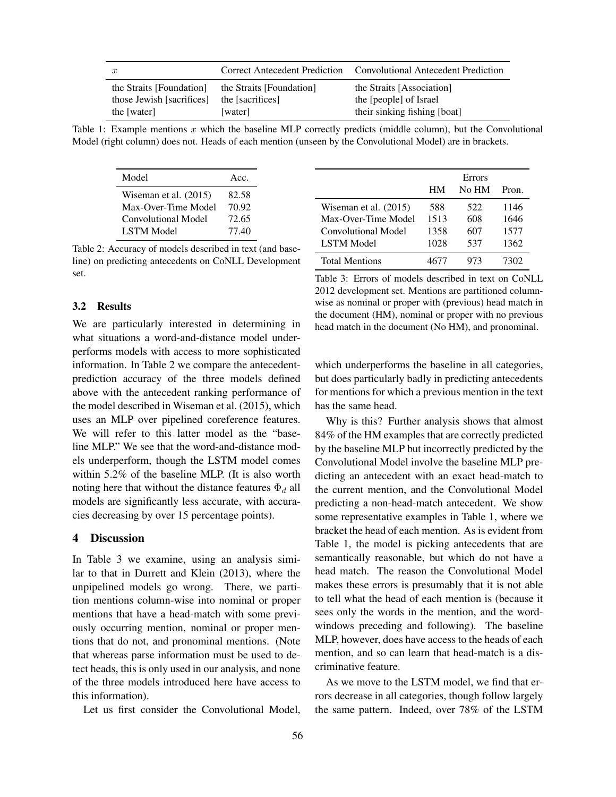| $\boldsymbol{x}$          |                          | Correct Antecedent Prediction Convolutional Antecedent Prediction |
|---------------------------|--------------------------|-------------------------------------------------------------------|
| the Straits [Foundation]  | the Straits [Foundation] | the Straits [Association]                                         |
| those Jewish [sacrifices] | the [sacrifices]         | the [people] of Israel                                            |
| the [water]               | [water]                  | their sinking fishing [boat]                                      |

Table 1: Example mentions x which the baseline MLP correctly predicts (middle column), but the Convolutional Model (right column) does not. Heads of each mention (unseen by the Convolutional Model) are in brackets.

| Model                   | Acc.  |
|-------------------------|-------|
| Wiseman et al. $(2015)$ | 82.58 |
| Max-Over-Time Model     | 70.92 |
| Convolutional Model     | 72.65 |
| <b>LSTM Model</b>       | 77.40 |

Table 2: Accuracy of models described in text (and baseline) on predicting antecedents on CoNLL Development set.

# 3.2 Results

We are particularly interested in determining in what situations a word-and-distance model underperforms models with access to more sophisticated information. In Table 2 we compare the antecedentprediction accuracy of the three models defined above with the antecedent ranking performance of the model described in Wiseman et al. (2015), which uses an MLP over pipelined coreference features. We will refer to this latter model as the "baseline MLP." We see that the word-and-distance models underperform, though the LSTM model comes within 5.2% of the baseline MLP. (It is also worth noting here that without the distance features  $\Phi_d$  all models are significantly less accurate, with accuracies decreasing by over 15 percentage points).

## 4 Discussion

In Table 3 we examine, using an analysis similar to that in Durrett and Klein (2013), where the unpipelined models go wrong. There, we partition mentions column-wise into nominal or proper mentions that have a head-match with some previously occurring mention, nominal or proper mentions that do not, and pronominal mentions. (Note that whereas parse information must be used to detect heads, this is only used in our analysis, and none of the three models introduced here have access to this information).

Let us first consider the Convolutional Model,

|                         | HМ   | Errors<br>No HM | Pron. |
|-------------------------|------|-----------------|-------|
| Wiseman et al. $(2015)$ | 588  | 522             | 1146  |
| Max-Over-Time Model     | 1513 | 608             | 1646  |
| Convolutional Model     | 1358 | 607             | 1577  |
| <b>LSTM</b> Model       | 1028 | 537             | 1362  |
| <b>Total Mentions</b>   |      | 973             | 7302  |

Table 3: Errors of models described in text on CoNLL 2012 development set. Mentions are partitioned columnwise as nominal or proper with (previous) head match in the document (HM), nominal or proper with no previous head match in the document (No HM), and pronominal.

which underperforms the baseline in all categories, but does particularly badly in predicting antecedents for mentions for which a previous mention in the text has the same head.

Why is this? Further analysis shows that almost 84% of the HM examples that are correctly predicted by the baseline MLP but incorrectly predicted by the Convolutional Model involve the baseline MLP predicting an antecedent with an exact head-match to the current mention, and the Convolutional Model predicting a non-head-match antecedent. We show some representative examples in Table 1, where we bracket the head of each mention. As is evident from Table 1, the model is picking antecedents that are semantically reasonable, but which do not have a head match. The reason the Convolutional Model makes these errors is presumably that it is not able to tell what the head of each mention is (because it sees only the words in the mention, and the wordwindows preceding and following). The baseline MLP, however, does have access to the heads of each mention, and so can learn that head-match is a discriminative feature.

As we move to the LSTM model, we find that errors decrease in all categories, though follow largely the same pattern. Indeed, over 78% of the LSTM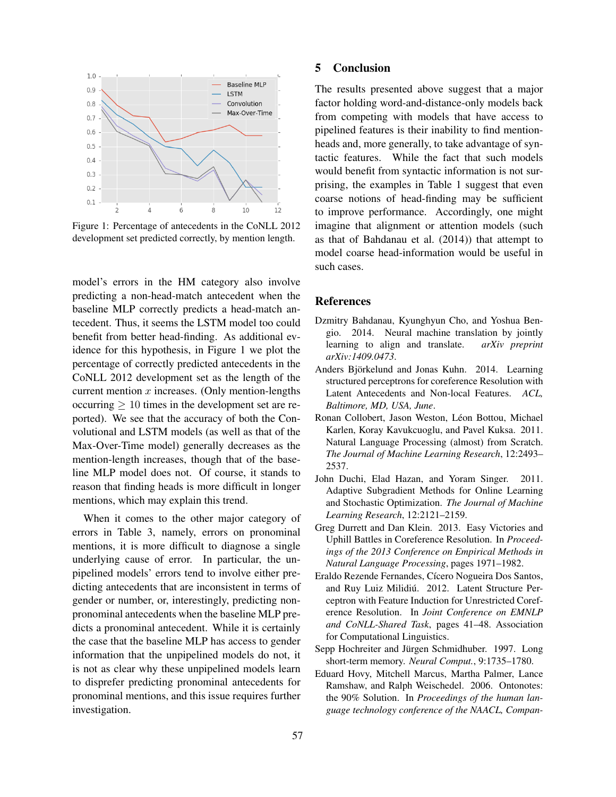

Figure 1: Percentage of antecedents in the CoNLL 2012 development set predicted correctly, by mention length.

model's errors in the HM category also involve predicting a non-head-match antecedent when the baseline MLP correctly predicts a head-match antecedent. Thus, it seems the LSTM model too could benefit from better head-finding. As additional evidence for this hypothesis, in Figure 1 we plot the percentage of correctly predicted antecedents in the CoNLL 2012 development set as the length of the current mention  $x$  increases. (Only mention-lengths  $\alpha$  occurring  $> 10$  times in the development set are reported). We see that the accuracy of both the Convolutional and LSTM models (as well as that of the Max-Over-Time model) generally decreases as the mention-length increases, though that of the baseline MLP model does not. Of course, it stands to reason that finding heads is more difficult in longer mentions, which may explain this trend.

When it comes to the other major category of errors in Table 3, namely, errors on pronominal mentions, it is more difficult to diagnose a single underlying cause of error. In particular, the unpipelined models' errors tend to involve either predicting antecedents that are inconsistent in terms of gender or number, or, interestingly, predicting nonpronominal antecedents when the baseline MLP predicts a pronominal antecedent. While it is certainly the case that the baseline MLP has access to gender information that the unpipelined models do not, it is not as clear why these unpipelined models learn to disprefer predicting pronominal antecedents for pronominal mentions, and this issue requires further investigation.

# 5 Conclusion

The results presented above suggest that a major factor holding word-and-distance-only models back from competing with models that have access to pipelined features is their inability to find mentionheads and, more generally, to take advantage of syntactic features. While the fact that such models would benefit from syntactic information is not surprising, the examples in Table 1 suggest that even coarse notions of head-finding may be sufficient to improve performance. Accordingly, one might imagine that alignment or attention models (such as that of Bahdanau et al. (2014)) that attempt to model coarse head-information would be useful in such cases.

### References

- Dzmitry Bahdanau, Kyunghyun Cho, and Yoshua Bengio. 2014. Neural machine translation by jointly learning to align and translate. *arXiv preprint arXiv:1409.0473*.
- Anders Björkelund and Jonas Kuhn. 2014. Learning structured perceptrons for coreference Resolution with Latent Antecedents and Non-local Features. *ACL, Baltimore, MD, USA, June*.
- Ronan Collobert, Jason Weston, Léon Bottou, Michael Karlen, Koray Kavukcuoglu, and Pavel Kuksa. 2011. Natural Language Processing (almost) from Scratch. *The Journal of Machine Learning Research*, 12:2493– 2537.
- John Duchi, Elad Hazan, and Yoram Singer. 2011. Adaptive Subgradient Methods for Online Learning and Stochastic Optimization. *The Journal of Machine Learning Research*, 12:2121–2159.
- Greg Durrett and Dan Klein. 2013. Easy Victories and Uphill Battles in Coreference Resolution. In *Proceedings of the 2013 Conference on Empirical Methods in Natural Language Processing*, pages 1971–1982.
- Eraldo Rezende Fernandes, Cícero Nogueira Dos Santos, and Ruy Luiz Milidiú. 2012. Latent Structure Perceptron with Feature Induction for Unrestricted Coreference Resolution. In *Joint Conference on EMNLP and CoNLL-Shared Task*, pages 41–48. Association for Computational Linguistics.
- Sepp Hochreiter and Jürgen Schmidhuber. 1997. Long short-term memory. *Neural Comput.*, 9:1735–1780.
- Eduard Hovy, Mitchell Marcus, Martha Palmer, Lance Ramshaw, and Ralph Weischedel. 2006. Ontonotes: the 90% Solution. In *Proceedings of the human language technology conference of the NAACL, Compan-*